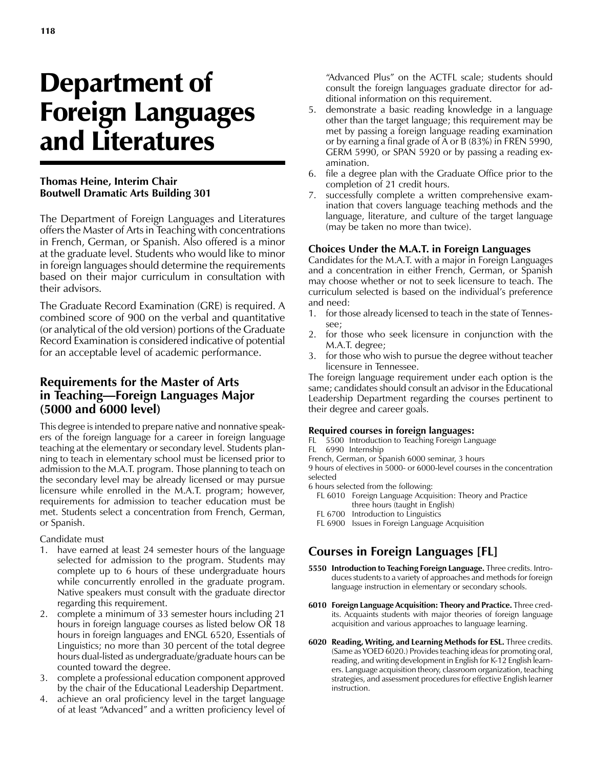# Department of Foreign Languages and Literatures

#### **Thomas Heine, Interim Chair Boutwell Dramatic Arts Building 301**

The Department of Foreign Languages and Literatures offers the Master of Arts in Teaching with concentrations in French, German, or Spanish. Also offered is a minor at the graduate level. Students who would like to minor in foreign languages should determine the requirements based on their major curriculum in consultation with their advisors.

The Graduate Record Examination (GRE) is required. A combined score of 900 on the verbal and quantitative (or analytical of the old version) portions of the Graduate Record Examination is considered indicative of potential for an acceptable level of academic performance.

## **Requirements for the Master of Arts in Teaching—Foreign Languages Major (5000 and 6000 level)**

This degree is intended to prepare native and nonnative speakers of the foreign language for a career in foreign language teaching at the elementary or secondary level. Students planning to teach in elementary school must be licensed prior to admission to the M.A.T. program. Those planning to teach on the secondary level may be already licensed or may pursue licensure while enrolled in the M.A.T. program; however, requirements for admission to teacher education must be met. Students select a concentration from French, German, or Spanish.

Candidate must

- 1. have earned at least 24 semester hours of the language selected for admission to the program. Students may complete up to 6 hours of these undergraduate hours while concurrently enrolled in the graduate program. Native speakers must consult with the graduate director regarding this requirement.
- 2. complete a minimum of 33 semester hours including 21 hours in foreign language courses as listed below OR 18 hours in foreign languages and ENGL 6520, Essentials of Linguistics; no more than 30 percent of the total degree hours dual-listed as undergraduate/graduate hours can be counted toward the degree.
- 3. complete a professional education component approved by the chair of the Educational Leadership Department.
- 4. achieve an oral proficiency level in the target language of at least "Advanced" and a written proficiency level of

"Advanced Plus" on the ACTFL scale; students should consult the foreign languages graduate director for additional information on this requirement.

- 5. demonstrate a basic reading knowledge in a language other than the target language; this requirement may be met by passing a foreign language reading examination or by earning a final grade of A or B (83%) in FREN 5990, GERM 5990, or SPAN 5920 or by passing a reading examination.
- 6. file a degree plan with the Graduate Office prior to the completion of 21 credit hours.
- 7. successfully complete a written comprehensive examination that covers language teaching methods and the language, literature, and culture of the target language (may be taken no more than twice).

#### **Choices Under the M.A.T. in Foreign Languages**

Candidates for the M.A.T. with a major in Foreign Languages and a concentration in either French, German, or Spanish may choose whether or not to seek licensure to teach. The curriculum selected is based on the individual's preference and need:

- 1. for those already licensed to teach in the state of Tennessee;
- 2. for those who seek licensure in conjunction with the M.A.T. degree;
- 3. for those who wish to pursue the degree without teacher licensure in Tennessee.

The foreign language requirement under each option is the same; candidates should consult an advisor in the Educational Leadership Department regarding the courses pertinent to their degree and career goals.

#### **Required courses in foreign languages:**

FL 5500 Introduction to Teaching Foreign Language FL 6990 Internship

French, German, or Spanish 6000 seminar, 3 hours

9 hours of electives in 5000- or 6000-level courses in the concentration selected

- 6 hours selected from the following:
	- FL 6010 Foreign Language Acquisition: Theory and Practice three hours (taught in English)
	- FL 6700 Introduction to Linguistics
	- FL 6900 Issues in Foreign Language Acquisition

# **Courses in Foreign Languages [FL]**

- **5550 Introduction to Teaching Foreign Language.** Three credits. Introduces students to a variety of approaches and methods for foreign language instruction in elementary or secondary schools.
- **6010 Foreign Language Acquisition: Theory and Practice.** Three credits. Acquaints students with major theories of foreign language acquisition and various approaches to language learning.
- **6020 Reading, Writing, and Learning Methods for ESL.** Three credits. (Same as YOED 6020.) Provides teaching ideas for promoting oral, reading, and writing development in English for K-12 English learners. Language acquisition theory, classroom organization, teaching strategies, and assessment procedures for effective English learner instruction.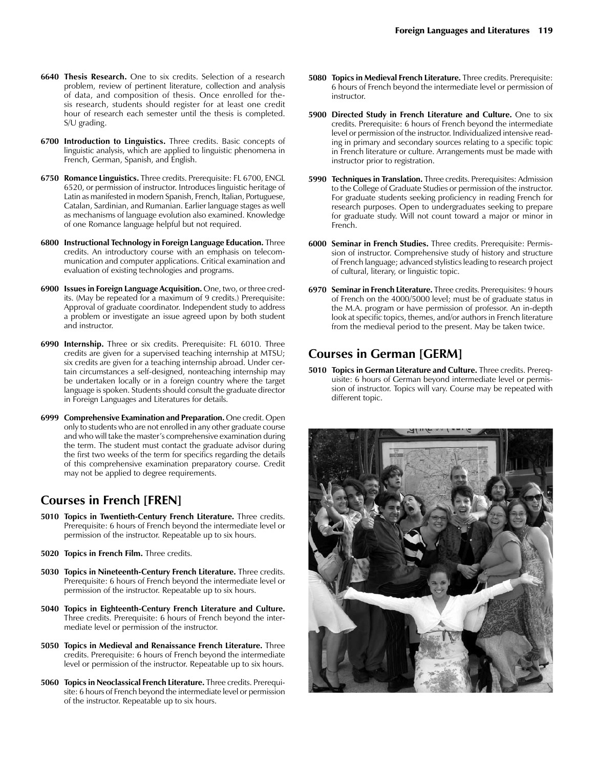- **6700 Introduction to Linguistics.** Three credits. Basic concepts of linguistic analysis, which are applied to linguistic phenomena in French, German, Spanish, and English.
- **6750 Romance Linguistics.** Three credits. Prerequisite: FL 6700, ENGL 6520, or permission of instructor. Introduces linguistic heritage of Latin as manifested in modern Spanish, French, Italian, Portuguese, Catalan, Sardinian, and Rumanian. Earlier language stages as well as mechanisms of language evolution also examined. Knowledge of one Romance language helpful but not required.
- **6800 Instructional Technology in Foreign Language Education.** Three credits. An introductory course with an emphasis on telecommunication and computer applications. Critical examination and evaluation of existing technologies and programs.
- **6900 Issues in Foreign Language Acquisition.** One, two, or three credits. (May be repeated for a maximum of 9 credits.) Prerequisite: Approval of graduate coordinator. Independent study to address a problem or investigate an issue agreed upon by both student and instructor.
- **6990 Internship.** Three or six credits. Prerequisite: FL 6010. Three credits are given for a supervised teaching internship at MTSU; six credits are given for a teaching internship abroad. Under certain circumstances a self-designed, nonteaching internship may be undertaken locally or in a foreign country where the target language is spoken. Students should consult the graduate director in Foreign Languages and Literatures for details.
- **6999 Comprehensive Examination and Preparation.** One credit. Open only to students who are not enrolled in any other graduate course and who will take the master's comprehensive examination during the term. The student must contact the graduate advisor during the first two weeks of the term for specifics regarding the details of this comprehensive examination preparatory course. Credit may not be applied to degree requirements.

## **Courses in French [FREN]**

- **5010 Topics in Twentieth-Century French Literature.** Three credits. Prerequisite: 6 hours of French beyond the intermediate level or permission of the instructor. Repeatable up to six hours.
- **5020 Topics in French Film.** Three credits.
- **5030 Topics in Nineteenth-Century French Literature.** Three credits. Prerequisite: 6 hours of French beyond the intermediate level or permission of the instructor. Repeatable up to six hours.
- **5040 Topics in Eighteenth-Century French Literature and Culture.** Three credits. Prerequisite: 6 hours of French beyond the intermediate level or permission of the instructor.
- **5050 Topics in Medieval and Renaissance French Literature.** Three credits. Prerequisite: 6 hours of French beyond the intermediate level or permission of the instructor. Repeatable up to six hours.
- **5060 Topics in Neoclassical French Literature.** Three credits. Prerequisite: 6 hours of French beyond the intermediate level or permission of the instructor. Repeatable up to six hours.
- **5080 Topics in Medieval French Literature.** Three credits. Prerequisite: 6 hours of French beyond the intermediate level or permission of instructor.
- **5900 Directed Study in French Literature and Culture.** One to six credits. Prerequisite: 6 hours of French beyond the intermediate level or permission of the instructor. Individualized intensive reading in primary and secondary sources relating to a specific topic in French literature or culture. Arrangements must be made with instructor prior to registration.
- **5990 Techniques in Translation.** Three credits. Prerequisites: Admission to the College of Graduate Studies or permission of the instructor. For graduate students seeking proficiency in reading French for research purposes. Open to undergraduates seeking to prepare for graduate study. Will not count toward a major or minor in French.
- **6000 Seminar in French Studies.** Three credits. Prerequisite: Permission of instructor. Comprehensive study of history and structure of French language; advanced stylistics leading to research project of cultural, literary, or linguistic topic.
- **6970 Seminar in French Literature.** Three credits. Prerequisites: 9 hours of French on the 4000/5000 level; must be of graduate status in the M.A. program or have permission of professor. An in-depth look at specific topics, themes, and/or authors in French literature from the medieval period to the present. May be taken twice.

# **Courses in German [GERM]**

**5010 Topics in German Literature and Culture.** Three credits. Prerequisite: 6 hours of German beyond intermediate level or permission of instructor. Topics will vary. Course may be repeated with different topic.